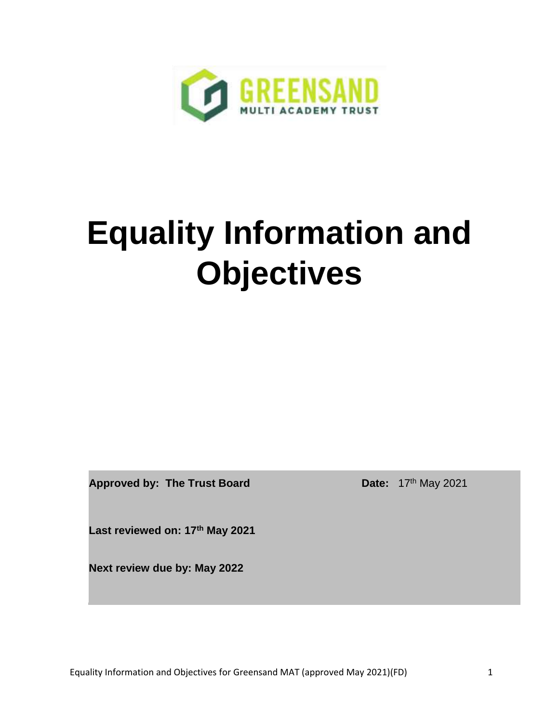

# **Equality Information and Objectives**

**Approved by: The Trust Board Date:** 17<sup>th</sup> May 2021

**Last reviewed on: 17th May 2021**

**Next review due by: May 2022**

Equality Information and Objectives for Greensand MAT (approved May 2021)(FD) 1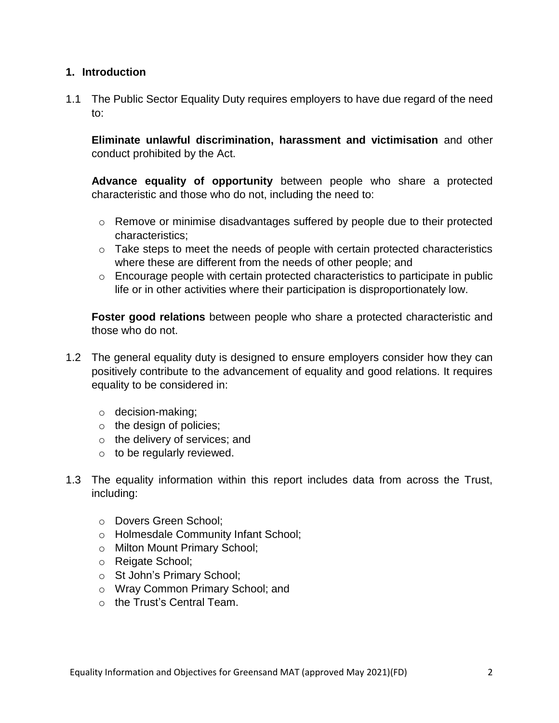#### **1. Introduction**

1.1 The Public Sector Equality Duty requires employers to have due regard of the need to:

**Eliminate unlawful discrimination, harassment and victimisation** and other conduct prohibited by the Act.

**Advance equality of opportunity** between people who share a protected characteristic and those who do not, including the need to:

- $\circ$  Remove or minimise disadvantages suffered by people due to their protected characteristics;
- o Take steps to meet the needs of people with certain protected characteristics where these are different from the needs of other people; and
- o Encourage people with certain protected characteristics to participate in public life or in other activities where their participation is disproportionately low.

**Foster good relations** between people who share a protected characteristic and those who do not.

- 1.2 The general equality duty is designed to ensure employers consider how they can positively contribute to the advancement of equality and good relations. It requires equality to be considered in:
	- o decision-making;
	- o the design of policies;
	- o the delivery of services; and
	- $\circ$  to be regularly reviewed.
- 1.3 The equality information within this report includes data from across the Trust, including:
	- o Dovers Green School;
	- o Holmesdale Community Infant School;
	- o Milton Mount Primary School;
	- o Reigate School;
	- o St John's Primary School;
	- o Wray Common Primary School; and
	- o the Trust's Central Team.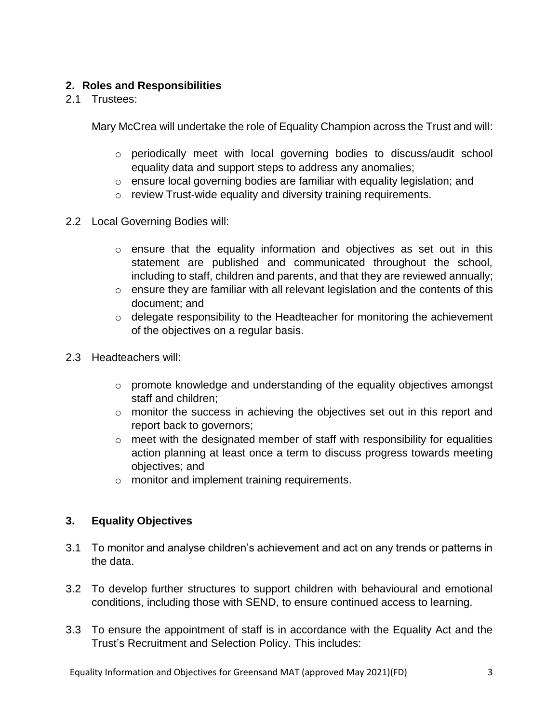# **2. Roles and Responsibilities**

2.1 Trustees:

Mary McCrea will undertake the role of Equality Champion across the Trust and will:

- o periodically meet with local governing bodies to discuss/audit school equality data and support steps to address any anomalies;
- o ensure local governing bodies are familiar with equality legislation; and
- o review Trust-wide equality and diversity training requirements.
- 2.2 Local Governing Bodies will:
	- o ensure that the equality information and objectives as set out in this statement are published and communicated throughout the school, including to staff, children and parents, and that they are reviewed annually;
	- o ensure they are familiar with all relevant legislation and the contents of this document; and
	- o delegate responsibility to the Headteacher for monitoring the achievement of the objectives on a regular basis.
- 2.3 Headteachers will:
	- o promote knowledge and understanding of the equality objectives amongst staff and children;
	- o monitor the success in achieving the objectives set out in this report and report back to governors;
	- o meet with the designated member of staff with responsibility for equalities action planning at least once a term to discuss progress towards meeting objectives; and
	- o monitor and implement training requirements.

# **3. Equality Objectives**

- 3.1 To monitor and analyse children's achievement and act on any trends or patterns in the data.
- 3.2 To develop further structures to support children with behavioural and emotional conditions, including those with SEND, to ensure continued access to learning.
- 3.3 To ensure the appointment of staff is in accordance with the Equality Act and the Trust's Recruitment and Selection Policy. This includes: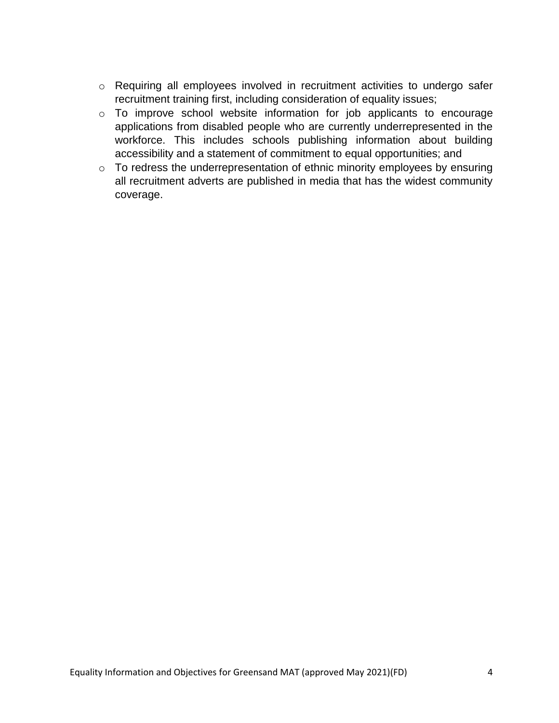- o Requiring all employees involved in recruitment activities to undergo safer recruitment training first, including consideration of equality issues;
- o To improve school website information for job applicants to encourage applications from disabled people who are currently underrepresented in the workforce. This includes schools publishing information about building accessibility and a statement of commitment to equal opportunities; and
- $\circ$  To redress the underrepresentation of ethnic minority employees by ensuring all recruitment adverts are published in media that has the widest community coverage.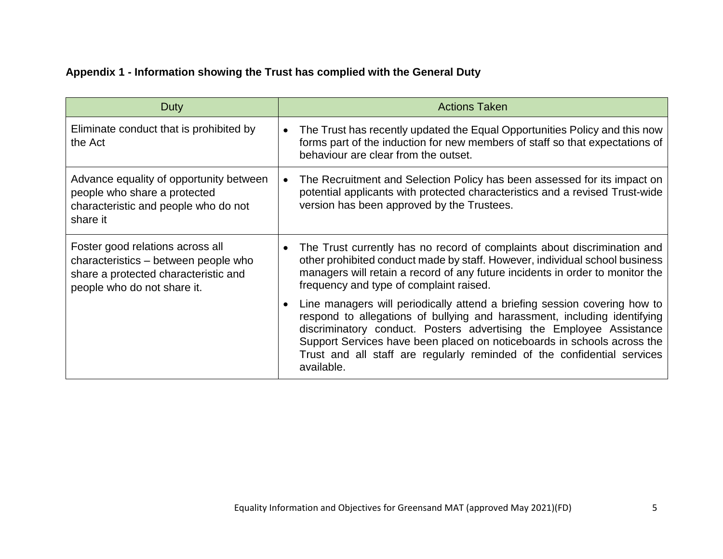# **Appendix 1 - Information showing the Trust has complied with the General Duty**

| Duty                                                                                                                                            | <b>Actions Taken</b>                                                                                                                                                                                                                                                                                                                                                                             |
|-------------------------------------------------------------------------------------------------------------------------------------------------|--------------------------------------------------------------------------------------------------------------------------------------------------------------------------------------------------------------------------------------------------------------------------------------------------------------------------------------------------------------------------------------------------|
| Eliminate conduct that is prohibited by<br>the Act                                                                                              | The Trust has recently updated the Equal Opportunities Policy and this now<br>$\bullet$<br>forms part of the induction for new members of staff so that expectations of<br>behaviour are clear from the outset.                                                                                                                                                                                  |
| Advance equality of opportunity between<br>people who share a protected<br>characteristic and people who do not<br>share it                     | The Recruitment and Selection Policy has been assessed for its impact on<br>$\bullet$<br>potential applicants with protected characteristics and a revised Trust-wide<br>version has been approved by the Trustees.                                                                                                                                                                              |
| Foster good relations across all<br>characteristics – between people who<br>share a protected characteristic and<br>people who do not share it. | The Trust currently has no record of complaints about discrimination and<br>$\bullet$<br>other prohibited conduct made by staff. However, individual school business<br>managers will retain a record of any future incidents in order to monitor the<br>frequency and type of complaint raised.                                                                                                 |
|                                                                                                                                                 | Line managers will periodically attend a briefing session covering how to<br>respond to allegations of bullying and harassment, including identifying<br>discriminatory conduct. Posters advertising the Employee Assistance<br>Support Services have been placed on noticeboards in schools across the<br>Trust and all staff are regularly reminded of the confidential services<br>available. |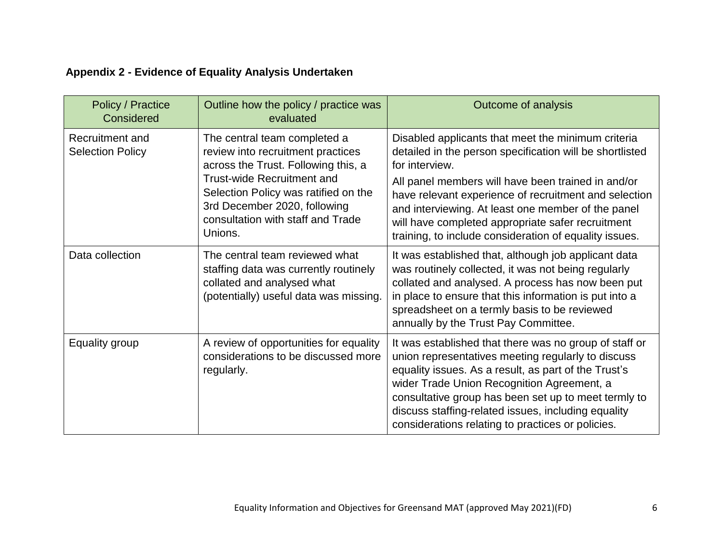# **Appendix 2 - Evidence of Equality Analysis Undertaken**

| <b>Policy / Practice</b><br>Considered     | Outline how the policy / practice was<br>evaluated                                                                                                                                                                                                             | Outcome of analysis                                                                                                                                                                                                                                                                                                                                                                                                  |
|--------------------------------------------|----------------------------------------------------------------------------------------------------------------------------------------------------------------------------------------------------------------------------------------------------------------|----------------------------------------------------------------------------------------------------------------------------------------------------------------------------------------------------------------------------------------------------------------------------------------------------------------------------------------------------------------------------------------------------------------------|
| Recruitment and<br><b>Selection Policy</b> | The central team completed a<br>review into recruitment practices<br>across the Trust. Following this, a<br>Trust-wide Recruitment and<br>Selection Policy was ratified on the<br>3rd December 2020, following<br>consultation with staff and Trade<br>Unions. | Disabled applicants that meet the minimum criteria<br>detailed in the person specification will be shortlisted<br>for interview.<br>All panel members will have been trained in and/or<br>have relevant experience of recruitment and selection<br>and interviewing. At least one member of the panel<br>will have completed appropriate safer recruitment<br>training, to include consideration of equality issues. |
| Data collection                            | The central team reviewed what<br>staffing data was currently routinely<br>collated and analysed what<br>(potentially) useful data was missing.                                                                                                                | It was established that, although job applicant data<br>was routinely collected, it was not being regularly<br>collated and analysed. A process has now been put<br>in place to ensure that this information is put into a<br>spreadsheet on a termly basis to be reviewed<br>annually by the Trust Pay Committee.                                                                                                   |
| Equality group                             | A review of opportunities for equality<br>considerations to be discussed more<br>regularly.                                                                                                                                                                    | It was established that there was no group of staff or<br>union representatives meeting regularly to discuss<br>equality issues. As a result, as part of the Trust's<br>wider Trade Union Recognition Agreement, a<br>consultative group has been set up to meet termly to<br>discuss staffing-related issues, including equality<br>considerations relating to practices or policies.                               |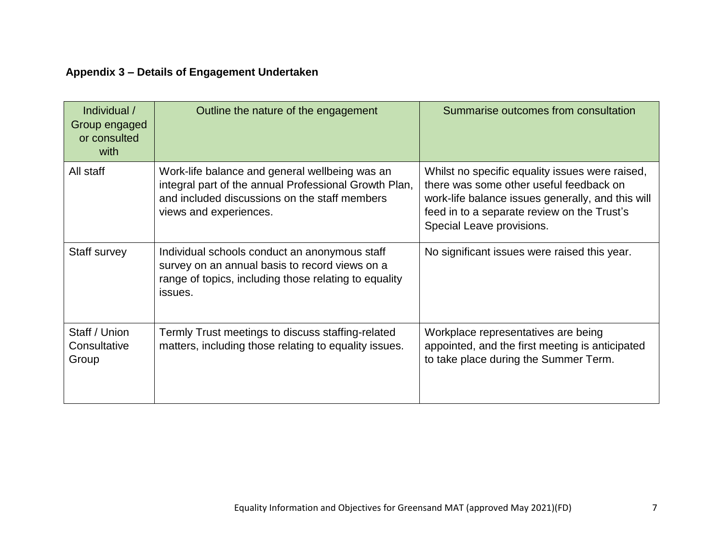# **Appendix 3 – Details of Engagement Undertaken**

| Individual /<br>Group engaged<br>or consulted<br>with | Outline the nature of the engagement                                                                                                                                               | Summarise outcomes from consultation                                                                                                                                                                                        |
|-------------------------------------------------------|------------------------------------------------------------------------------------------------------------------------------------------------------------------------------------|-----------------------------------------------------------------------------------------------------------------------------------------------------------------------------------------------------------------------------|
| All staff                                             | Work-life balance and general wellbeing was an<br>integral part of the annual Professional Growth Plan,<br>and included discussions on the staff members<br>views and experiences. | Whilst no specific equality issues were raised,<br>there was some other useful feedback on<br>work-life balance issues generally, and this will<br>feed in to a separate review on the Trust's<br>Special Leave provisions. |
| Staff survey                                          | Individual schools conduct an anonymous staff<br>survey on an annual basis to record views on a<br>range of topics, including those relating to equality<br>issues.                | No significant issues were raised this year.                                                                                                                                                                                |
| Staff / Union<br>Consultative<br>Group                | Termly Trust meetings to discuss staffing-related<br>matters, including those relating to equality issues.                                                                         | Workplace representatives are being<br>appointed, and the first meeting is anticipated<br>to take place during the Summer Term.                                                                                             |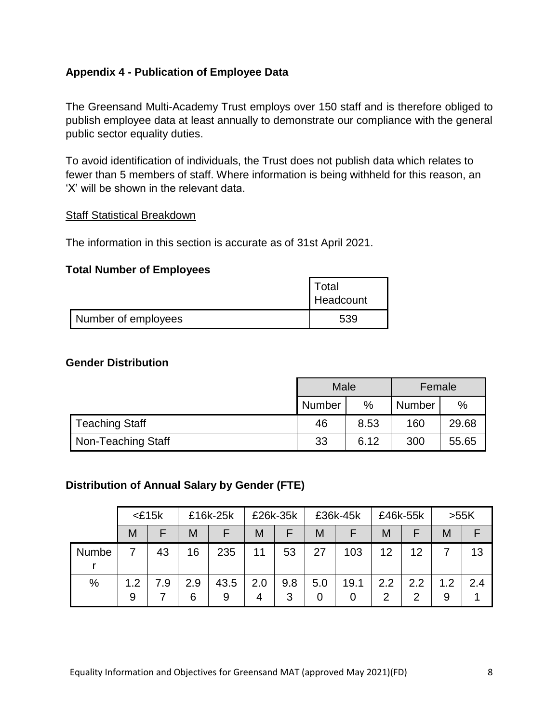# **Appendix 4 - Publication of Employee Data**

The Greensand Multi-Academy Trust employs over 150 staff and is therefore obliged to publish employee data at least annually to demonstrate our compliance with the general public sector equality duties.

To avoid identification of individuals, the Trust does not publish data which relates to fewer than 5 members of staff. Where information is being withheld for this reason, an 'X' will be shown in the relevant data.

#### Staff Statistical Breakdown

The information in this section is accurate as of 31st April 2021.

#### **Total Number of Employees**

|                     | . otal<br>Headcount |
|---------------------|---------------------|
| Number of employees | 539                 |

#### **Gender Distribution**

|                       | Male   |      | Female        |       |
|-----------------------|--------|------|---------------|-------|
|                       | Number | %    | <b>Number</b> | %     |
| <b>Teaching Staff</b> | 46     | 8.53 | 160           | 29.68 |
| Non-Teaching Staff    | 33     | 6.12 | 300           | 55.65 |

# **Distribution of Annual Salary by Gender (FTE)**

|       |          | $<$ £15 $k$ |          | £16k-25k  |          | £26k-35k |          | £36k-45k |                       | £46k-55k | >55K     |     |
|-------|----------|-------------|----------|-----------|----------|----------|----------|----------|-----------------------|----------|----------|-----|
|       | М        | F           | M        | F         | M        | E        | M        |          | M                     |          | M        |     |
| Numbe |          | 43          | 16       | 235       | 11       | 53       | 27       | 103      | 12                    | 12       |          | 13  |
| %     | 1.2<br>9 | 7.9         | 2.9<br>6 | 43.5<br>9 | 2.0<br>4 | 9.8<br>3 | 5.0<br>0 | 19.1     | 2.2<br>$\overline{2}$ | 2.2<br>⌒ | 1.2<br>9 | 2.4 |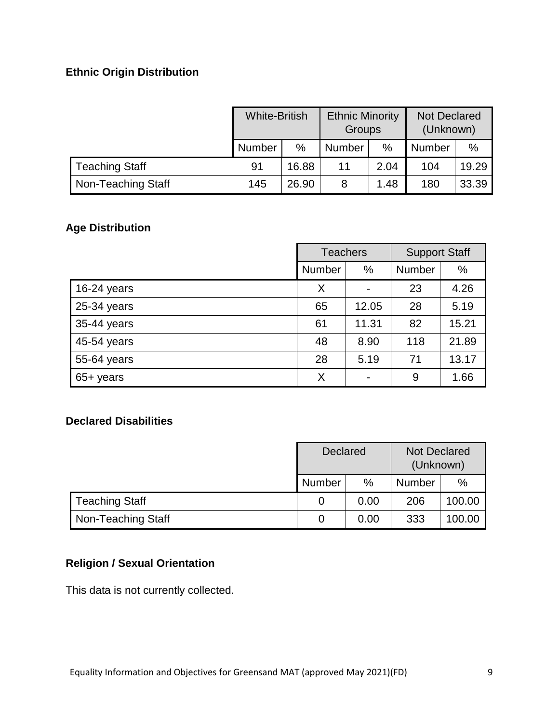# **Ethnic Origin Distribution**

|                       | <b>White-British</b> |               | <b>Ethnic Minority</b><br>Groups |      | <b>Not Declared</b><br>(Unknown) |       |
|-----------------------|----------------------|---------------|----------------------------------|------|----------------------------------|-------|
|                       | Number               | $\frac{0}{0}$ | <b>Number</b>                    | $\%$ | Number                           | $\%$  |
| <b>Teaching Staff</b> | 91                   | 16.88         | 11                               | 2.04 | 104                              | 19.29 |
| Non-Teaching Staff    | 145                  | 26.90         | 8                                | 1.48 | 180                              | 33.39 |

# **Age Distribution**

|             | <b>Teachers</b> |       | <b>Support Staff</b> |       |
|-------------|-----------------|-------|----------------------|-------|
|             | <b>Number</b>   | %     | <b>Number</b>        | $\%$  |
| 16-24 years | X               |       | 23                   | 4.26  |
| 25-34 years | 65              | 12.05 | 28                   | 5.19  |
| 35-44 years | 61              | 11.31 | 82                   | 15.21 |
| 45-54 years | 48              | 8.90  | 118                  | 21.89 |
| 55-64 years | 28              | 5.19  | 71                   | 13.17 |
| 65+ years   | X               |       | 9                    | 1.66  |

# **Declared Disabilities**

|                       | <b>Declared</b> |      | <b>Not Declared</b><br>(Unknown) |        |
|-----------------------|-----------------|------|----------------------------------|--------|
|                       | Number          | $\%$ | <b>Number</b>                    | $\%$   |
| <b>Teaching Staff</b> | O               | 0.00 | 206                              | 100.00 |
| Non-Teaching Staff    | 0               | 0.00 | 333                              | 100.00 |

# **Religion / Sexual Orientation**

This data is not currently collected.